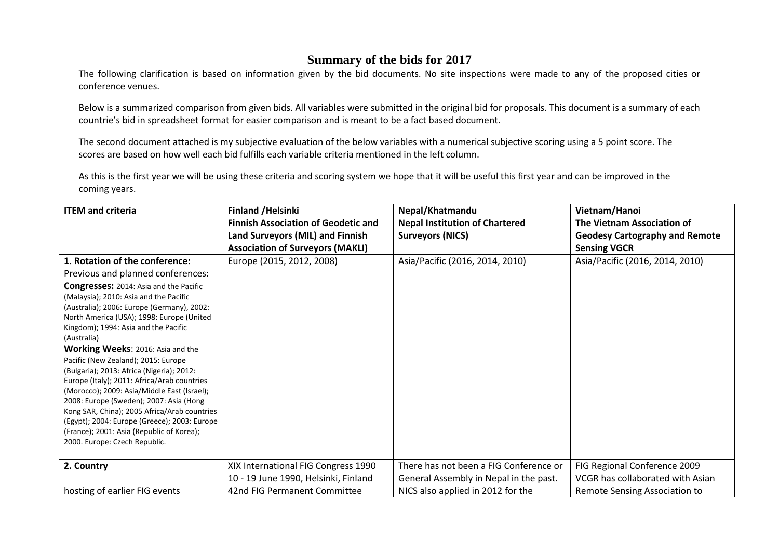## **Summary of the bids for 2017**

 The following clarification is based on information given by the bid documents. No site inspections were made to any of the proposed cities or conference venues.

Below is a summarized comparison from given bids. All variables were submitted in the original bid for proposals. This document is a summary of each countrie's bid in spreadsheet format for easier comparison and is meant to be a fact based document.

The second document attached is my subjective evaluation of the below variables with a numerical subjective scoring using a 5 point score. The scores are based on how well each bid fulfills each variable criteria mentioned in the left column.

As this is the first year we will be using these criteria and scoring system we hope that it will be useful this first year and can be improved in the coming years.

| <b>ITEM and criteria</b>                                                                                                                                                                                                      | <b>Finland /Helsinki</b>                   | Nepal/Khatmandu                        | Vietnam/Hanoi                         |
|-------------------------------------------------------------------------------------------------------------------------------------------------------------------------------------------------------------------------------|--------------------------------------------|----------------------------------------|---------------------------------------|
|                                                                                                                                                                                                                               | <b>Finnish Association of Geodetic and</b> | <b>Nepal Institution of Chartered</b>  | The Vietnam Association of            |
|                                                                                                                                                                                                                               | Land Surveyors (MIL) and Finnish           | <b>Surveyors (NICS)</b>                | <b>Geodesy Cartography and Remote</b> |
|                                                                                                                                                                                                                               | <b>Association of Surveyors (MAKLI)</b>    |                                        | <b>Sensing VGCR</b>                   |
| 1. Rotation of the conference:                                                                                                                                                                                                | Europe (2015, 2012, 2008)                  | Asia/Pacific (2016, 2014, 2010)        | Asia/Pacific (2016, 2014, 2010)       |
| Previous and planned conferences:                                                                                                                                                                                             |                                            |                                        |                                       |
| <b>Congresses:</b> 2014: Asia and the Pacific                                                                                                                                                                                 |                                            |                                        |                                       |
| (Malaysia); 2010: Asia and the Pacific<br>(Australia); 2006: Europe (Germany), 2002:<br>North America (USA); 1998: Europe (United<br>Kingdom); 1994: Asia and the Pacific<br>(Australia)<br>Working Weeks: 2016: Asia and the |                                            |                                        |                                       |
| Pacific (New Zealand); 2015: Europe<br>(Bulgaria); 2013: Africa (Nigeria); 2012:<br>Europe (Italy); 2011: Africa/Arab countries<br>(Morocco); 2009: Asia/Middle East (Israel);<br>2008: Europe (Sweden); 2007: Asia (Hong     |                                            |                                        |                                       |
| Kong SAR, China); 2005 Africa/Arab countries<br>(Egypt); 2004: Europe (Greece); 2003: Europe<br>(France); 2001: Asia (Republic of Korea);<br>2000. Europe: Czech Republic.                                                    |                                            |                                        |                                       |
| 2. Country                                                                                                                                                                                                                    | XIX International FIG Congress 1990        | There has not been a FIG Conference or | FIG Regional Conference 2009          |
|                                                                                                                                                                                                                               | 10 - 19 June 1990, Helsinki, Finland       | General Assembly in Nepal in the past. | VCGR has collaborated with Asian      |
| hosting of earlier FIG events                                                                                                                                                                                                 | 42nd FIG Permanent Committee               | NICS also applied in 2012 for the      | Remote Sensing Association to         |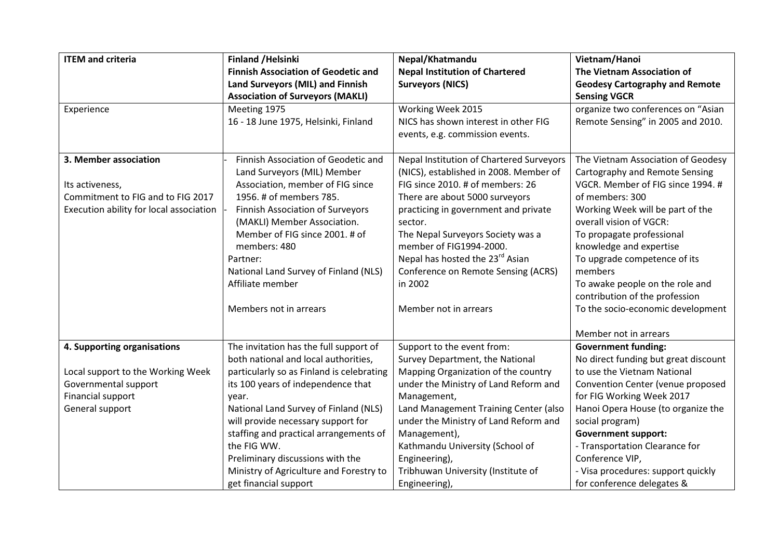| <b>ITEM and criteria</b>                | <b>Finland /Helsinki</b>                   | Nepal/Khatmandu                             | Vietnam/Hanoi                         |
|-----------------------------------------|--------------------------------------------|---------------------------------------------|---------------------------------------|
|                                         | <b>Finnish Association of Geodetic and</b> | <b>Nepal Institution of Chartered</b>       | The Vietnam Association of            |
|                                         | Land Surveyors (MIL) and Finnish           | <b>Surveyors (NICS)</b>                     | <b>Geodesy Cartography and Remote</b> |
|                                         | <b>Association of Surveyors (MAKLI)</b>    |                                             | <b>Sensing VGCR</b>                   |
| Experience                              | Meeting 1975                               | Working Week 2015                           | organize two conferences on "Asian    |
|                                         | 16 - 18 June 1975, Helsinki, Finland       | NICS has shown interest in other FIG        | Remote Sensing" in 2005 and 2010.     |
|                                         |                                            | events, e.g. commission events.             |                                       |
|                                         |                                            |                                             |                                       |
| 3. Member association                   | Finnish Association of Geodetic and        | Nepal Institution of Chartered Surveyors    | The Vietnam Association of Geodesy    |
|                                         | Land Surveyors (MIL) Member                | (NICS), established in 2008. Member of      | Cartography and Remote Sensing        |
| Its activeness,                         | Association, member of FIG since           | FIG since 2010. # of members: 26            | VGCR. Member of FIG since 1994. #     |
| Commitment to FIG and to FIG 2017       | 1956. # of members 785.                    | There are about 5000 surveyors              | of members: 300                       |
| Execution ability for local association | <b>Finnish Association of Surveyors</b>    | practicing in government and private        | Working Week will be part of the      |
|                                         | (MAKLI) Member Association.                | sector.                                     | overall vision of VGCR:               |
|                                         | Member of FIG since 2001. # of             | The Nepal Surveyors Society was a           | To propagate professional             |
|                                         | members: 480                               | member of FIG1994-2000.                     | knowledge and expertise               |
|                                         | Partner:                                   | Nepal has hosted the 23 <sup>rd</sup> Asian | To upgrade competence of its          |
|                                         | National Land Survey of Finland (NLS)      | Conference on Remote Sensing (ACRS)         | members                               |
|                                         | Affiliate member                           | in 2002                                     | To awake people on the role and       |
|                                         |                                            |                                             | contribution of the profession        |
|                                         | Members not in arrears                     | Member not in arrears                       | To the socio-economic development     |
|                                         |                                            |                                             |                                       |
|                                         |                                            |                                             | Member not in arrears                 |
| 4. Supporting organisations             | The invitation has the full support of     | Support to the event from:                  | <b>Government funding:</b>            |
|                                         | both national and local authorities,       | Survey Department, the National             | No direct funding but great discount  |
| Local support to the Working Week       | particularly so as Finland is celebrating  | Mapping Organization of the country         | to use the Vietnam National           |
| Governmental support                    | its 100 years of independence that         | under the Ministry of Land Reform and       | Convention Center (venue proposed     |
| Financial support                       | year.                                      | Management,                                 | for FIG Working Week 2017             |
| General support                         | National Land Survey of Finland (NLS)      | Land Management Training Center (also       | Hanoi Opera House (to organize the    |
|                                         | will provide necessary support for         | under the Ministry of Land Reform and       | social program)                       |
|                                         | staffing and practical arrangements of     | Management),                                | <b>Government support:</b>            |
|                                         | the FIG WW.                                | Kathmandu University (School of             | - Transportation Clearance for        |
|                                         | Preliminary discussions with the           | Engineering),                               | Conference VIP,                       |
|                                         | Ministry of Agriculture and Forestry to    | Tribhuwan University (Institute of          | - Visa procedures: support quickly    |
|                                         | get financial support                      | Engineering),                               | for conference delegates &            |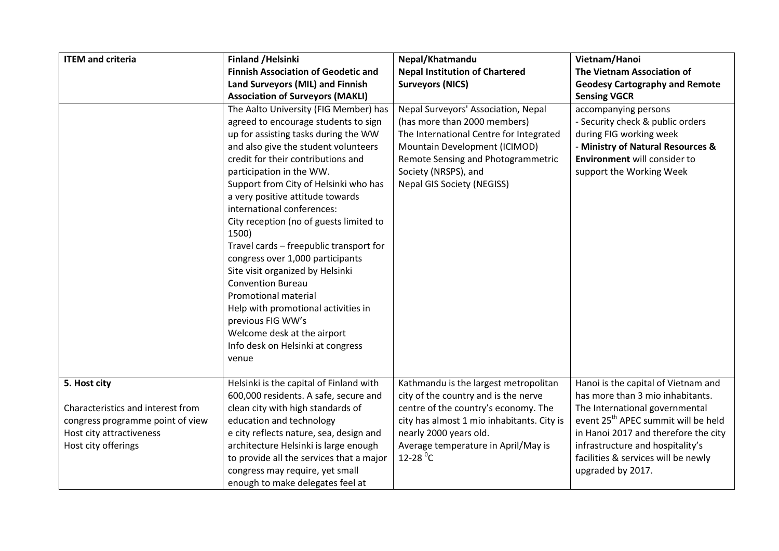| <b>ITEM and criteria</b>                                                                                                                 | <b>Finland /Helsinki</b>                                                                                                                                                                                                                                                                                                                                                                                                                                                                                                                                                                                                                                                                                       | Nepal/Khatmandu                                                                                                                                                                                                                                                | Vietnam/Hanoi                                                                                                                                                                                                                                                                                        |
|------------------------------------------------------------------------------------------------------------------------------------------|----------------------------------------------------------------------------------------------------------------------------------------------------------------------------------------------------------------------------------------------------------------------------------------------------------------------------------------------------------------------------------------------------------------------------------------------------------------------------------------------------------------------------------------------------------------------------------------------------------------------------------------------------------------------------------------------------------------|----------------------------------------------------------------------------------------------------------------------------------------------------------------------------------------------------------------------------------------------------------------|------------------------------------------------------------------------------------------------------------------------------------------------------------------------------------------------------------------------------------------------------------------------------------------------------|
|                                                                                                                                          | <b>Finnish Association of Geodetic and</b>                                                                                                                                                                                                                                                                                                                                                                                                                                                                                                                                                                                                                                                                     | <b>Nepal Institution of Chartered</b>                                                                                                                                                                                                                          | The Vietnam Association of                                                                                                                                                                                                                                                                           |
|                                                                                                                                          | Land Surveyors (MIL) and Finnish                                                                                                                                                                                                                                                                                                                                                                                                                                                                                                                                                                                                                                                                               | <b>Surveyors (NICS)</b>                                                                                                                                                                                                                                        | <b>Geodesy Cartography and Remote</b>                                                                                                                                                                                                                                                                |
|                                                                                                                                          | <b>Association of Surveyors (MAKLI)</b>                                                                                                                                                                                                                                                                                                                                                                                                                                                                                                                                                                                                                                                                        |                                                                                                                                                                                                                                                                | <b>Sensing VGCR</b>                                                                                                                                                                                                                                                                                  |
|                                                                                                                                          | The Aalto University (FIG Member) has<br>agreed to encourage students to sign<br>up for assisting tasks during the WW<br>and also give the student volunteers<br>credit for their contributions and<br>participation in the WW.<br>Support from City of Helsinki who has<br>a very positive attitude towards<br>international conferences:<br>City reception (no of guests limited to<br>1500)<br>Travel cards - freepublic transport for<br>congress over 1,000 participants<br>Site visit organized by Helsinki<br><b>Convention Bureau</b><br>Promotional material<br>Help with promotional activities in<br>previous FIG WW's<br>Welcome desk at the airport<br>Info desk on Helsinki at congress<br>venue | Nepal Surveyors' Association, Nepal<br>(has more than 2000 members)<br>The International Centre for Integrated<br>Mountain Development (ICIMOD)<br>Remote Sensing and Photogrammetric<br>Society (NRSPS), and<br><b>Nepal GIS Society (NEGISS)</b>             | accompanying persons<br>- Security check & public orders<br>during FIG working week<br>- Ministry of Natural Resources &<br><b>Environment</b> will consider to<br>support the Working Week                                                                                                          |
| 5. Host city<br>Characteristics and interest from<br>congress programme point of view<br>Host city attractiveness<br>Host city offerings | Helsinki is the capital of Finland with<br>600,000 residents. A safe, secure and<br>clean city with high standards of<br>education and technology<br>e city reflects nature, sea, design and<br>architecture Helsinki is large enough<br>to provide all the services that a major<br>congress may require, yet small<br>enough to make delegates feel at                                                                                                                                                                                                                                                                                                                                                       | Kathmandu is the largest metropolitan<br>city of the country and is the nerve<br>centre of the country's economy. The<br>city has almost 1 mio inhabitants. City is<br>nearly 2000 years old.<br>Average temperature in April/May is<br>$12-28$ <sup>o</sup> C | Hanoi is the capital of Vietnam and<br>has more than 3 mio inhabitants.<br>The International governmental<br>event 25 <sup>th</sup> APEC summit will be held<br>in Hanoi 2017 and therefore the city<br>infrastructure and hospitality's<br>facilities & services will be newly<br>upgraded by 2017. |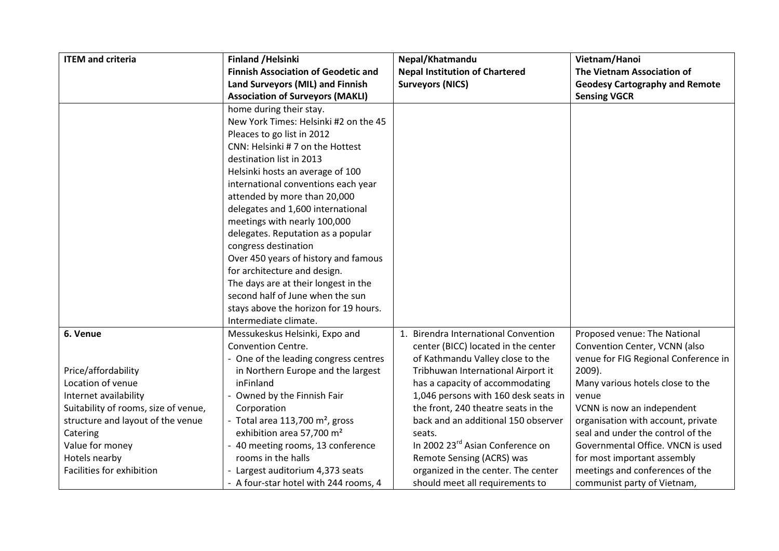| <b>ITEM and criteria</b>             | <b>Finland / Helsinki</b>                     | Nepal/Khatmandu                              | Vietnam/Hanoi                         |
|--------------------------------------|-----------------------------------------------|----------------------------------------------|---------------------------------------|
|                                      | <b>Finnish Association of Geodetic and</b>    | <b>Nepal Institution of Chartered</b>        | The Vietnam Association of            |
|                                      | Land Surveyors (MIL) and Finnish              | <b>Surveyors (NICS)</b>                      | <b>Geodesy Cartography and Remote</b> |
|                                      | <b>Association of Surveyors (MAKLI)</b>       |                                              | <b>Sensing VGCR</b>                   |
|                                      | home during their stay.                       |                                              |                                       |
|                                      | New York Times: Helsinki #2 on the 45         |                                              |                                       |
|                                      | Pleaces to go list in 2012                    |                                              |                                       |
|                                      | CNN: Helsinki #7 on the Hottest               |                                              |                                       |
|                                      | destination list in 2013                      |                                              |                                       |
|                                      | Helsinki hosts an average of 100              |                                              |                                       |
|                                      | international conventions each year           |                                              |                                       |
|                                      | attended by more than 20,000                  |                                              |                                       |
|                                      | delegates and 1,600 international             |                                              |                                       |
|                                      | meetings with nearly 100,000                  |                                              |                                       |
|                                      | delegates. Reputation as a popular            |                                              |                                       |
|                                      | congress destination                          |                                              |                                       |
|                                      | Over 450 years of history and famous          |                                              |                                       |
|                                      | for architecture and design.                  |                                              |                                       |
|                                      | The days are at their longest in the          |                                              |                                       |
|                                      | second half of June when the sun              |                                              |                                       |
|                                      | stays above the horizon for 19 hours.         |                                              |                                       |
|                                      | Intermediate climate.                         |                                              |                                       |
| 6. Venue                             | Messukeskus Helsinki, Expo and                | 1. Birendra International Convention         | Proposed venue: The National          |
|                                      | <b>Convention Centre.</b>                     | center (BICC) located in the center          | Convention Center, VCNN (also         |
|                                      | - One of the leading congress centres         | of Kathmandu Valley close to the             | venue for FIG Regional Conference in  |
| Price/affordability                  | in Northern Europe and the largest            | Tribhuwan International Airport it           | 2009).                                |
| Location of venue                    | inFinland                                     | has a capacity of accommodating              | Many various hotels close to the      |
| Internet availability                | - Owned by the Finnish Fair                   | 1,046 persons with 160 desk seats in         | venue                                 |
| Suitability of rooms, size of venue, | Corporation                                   | the front, 240 theatre seats in the          | VCNN is now an independent            |
| structure and layout of the venue    | - Total area $113,700$ m <sup>2</sup> , gross | back and an additional 150 observer          | organisation with account, private    |
| Catering                             | exhibition area 57,700 m <sup>2</sup>         | seats.                                       | seal and under the control of the     |
| Value for money                      | - 40 meeting rooms, 13 conference             | In 2002 23 <sup>rd</sup> Asian Conference on | Governmental Office. VNCN is used     |
| Hotels nearby                        | rooms in the halls                            | Remote Sensing (ACRS) was                    | for most important assembly           |
| Facilities for exhibition            | - Largest auditorium 4,373 seats              | organized in the center. The center          | meetings and conferences of the       |
|                                      | - A four-star hotel with 244 rooms, 4         | should meet all requirements to              | communist party of Vietnam,           |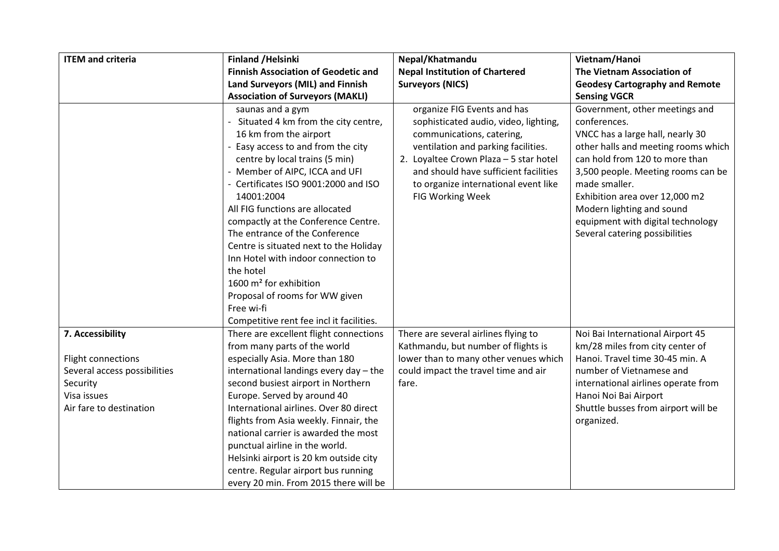| <b>ITEM and criteria</b>                                                                                                     | <b>Finland / Helsinki</b>                                                                                                                                                                                                                                                                                                                                                                                                                                                                                                                                                                       | Nepal/Khatmandu                                                                                                                                                                                                                                                                         | Vietnam/Hanoi                                                                                                                                                                                                                                                                                                                                            |
|------------------------------------------------------------------------------------------------------------------------------|-------------------------------------------------------------------------------------------------------------------------------------------------------------------------------------------------------------------------------------------------------------------------------------------------------------------------------------------------------------------------------------------------------------------------------------------------------------------------------------------------------------------------------------------------------------------------------------------------|-----------------------------------------------------------------------------------------------------------------------------------------------------------------------------------------------------------------------------------------------------------------------------------------|----------------------------------------------------------------------------------------------------------------------------------------------------------------------------------------------------------------------------------------------------------------------------------------------------------------------------------------------------------|
|                                                                                                                              | <b>Finnish Association of Geodetic and</b>                                                                                                                                                                                                                                                                                                                                                                                                                                                                                                                                                      | <b>Nepal Institution of Chartered</b>                                                                                                                                                                                                                                                   | The Vietnam Association of                                                                                                                                                                                                                                                                                                                               |
|                                                                                                                              | Land Surveyors (MIL) and Finnish                                                                                                                                                                                                                                                                                                                                                                                                                                                                                                                                                                | <b>Surveyors (NICS)</b>                                                                                                                                                                                                                                                                 | <b>Geodesy Cartography and Remote</b>                                                                                                                                                                                                                                                                                                                    |
|                                                                                                                              | <b>Association of Surveyors (MAKLI)</b>                                                                                                                                                                                                                                                                                                                                                                                                                                                                                                                                                         |                                                                                                                                                                                                                                                                                         | <b>Sensing VGCR</b>                                                                                                                                                                                                                                                                                                                                      |
|                                                                                                                              | saunas and a gym<br>- Situated 4 km from the city centre,<br>16 km from the airport<br>- Easy access to and from the city<br>centre by local trains (5 min)<br>- Member of AIPC, ICCA and UFI<br>- Certificates ISO 9001:2000 and ISO<br>14001:2004<br>All FIG functions are allocated<br>compactly at the Conference Centre.<br>The entrance of the Conference<br>Centre is situated next to the Holiday<br>Inn Hotel with indoor connection to<br>the hotel<br>1600 m <sup>2</sup> for exhibition<br>Proposal of rooms for WW given<br>Free wi-fi<br>Competitive rent fee incl it facilities. | organize FIG Events and has<br>sophisticated audio, video, lighting,<br>communications, catering,<br>ventilation and parking facilities.<br>2. Loyaltee Crown Plaza - 5 star hotel<br>and should have sufficient facilities<br>to organize international event like<br>FIG Working Week | Government, other meetings and<br>conferences.<br>VNCC has a large hall, nearly 30<br>other halls and meeting rooms which<br>can hold from 120 to more than<br>3,500 people. Meeting rooms can be<br>made smaller.<br>Exhibition area over 12,000 m2<br>Modern lighting and sound<br>equipment with digital technology<br>Several catering possibilities |
| 7. Accessibility<br>Flight connections<br>Several access possibilities<br>Security<br>Visa issues<br>Air fare to destination | There are excellent flight connections<br>from many parts of the world<br>especially Asia. More than 180<br>international landings every day - the<br>second busiest airport in Northern<br>Europe. Served by around 40<br>International airlines. Over 80 direct<br>flights from Asia weekly. Finnair, the<br>national carrier is awarded the most<br>punctual airline in the world.<br>Helsinki airport is 20 km outside city                                                                                                                                                                 | There are several airlines flying to<br>Kathmandu, but number of flights is<br>lower than to many other venues which<br>could impact the travel time and air<br>fare.                                                                                                                   | Noi Bai International Airport 45<br>km/28 miles from city center of<br>Hanoi. Travel time 30-45 min. A<br>number of Vietnamese and<br>international airlines operate from<br>Hanoi Noi Bai Airport<br>Shuttle busses from airport will be<br>organized.                                                                                                  |
|                                                                                                                              | centre. Regular airport bus running<br>every 20 min. From 2015 there will be                                                                                                                                                                                                                                                                                                                                                                                                                                                                                                                    |                                                                                                                                                                                                                                                                                         |                                                                                                                                                                                                                                                                                                                                                          |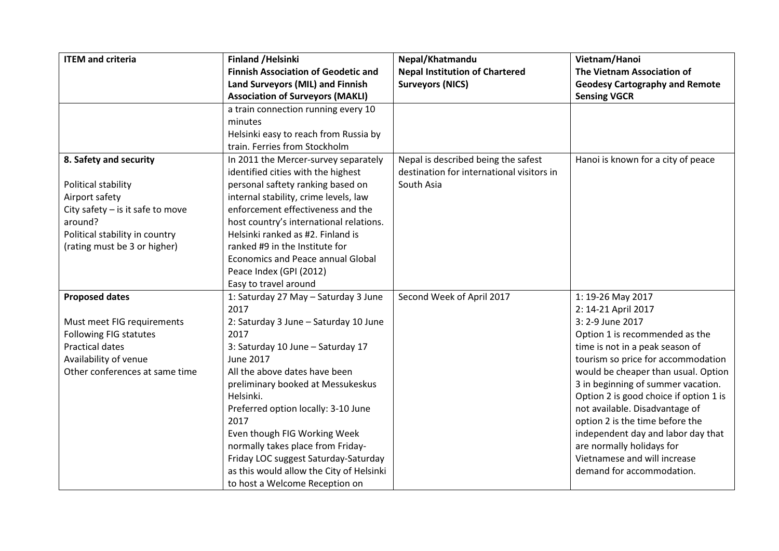| <b>ITEM and criteria</b>           | <b>Finland /Helsinki</b>                   | Nepal/Khatmandu                           | Vietnam/Hanoi                          |
|------------------------------------|--------------------------------------------|-------------------------------------------|----------------------------------------|
|                                    | <b>Finnish Association of Geodetic and</b> | <b>Nepal Institution of Chartered</b>     | The Vietnam Association of             |
|                                    | Land Surveyors (MIL) and Finnish           | <b>Surveyors (NICS)</b>                   | <b>Geodesy Cartography and Remote</b>  |
|                                    | <b>Association of Surveyors (MAKLI)</b>    |                                           | <b>Sensing VGCR</b>                    |
|                                    | a train connection running every 10        |                                           |                                        |
|                                    | minutes                                    |                                           |                                        |
|                                    | Helsinki easy to reach from Russia by      |                                           |                                        |
|                                    | train. Ferries from Stockholm              |                                           |                                        |
| 8. Safety and security             | In 2011 the Mercer-survey separately       | Nepal is described being the safest       | Hanoi is known for a city of peace     |
|                                    | identified cities with the highest         | destination for international visitors in |                                        |
| Political stability                | personal saftety ranking based on          | South Asia                                |                                        |
| Airport safety                     | internal stability, crime levels, law      |                                           |                                        |
| City safety $-$ is it safe to move | enforcement effectiveness and the          |                                           |                                        |
| around?                            | host country's international relations.    |                                           |                                        |
| Political stability in country     | Helsinki ranked as #2. Finland is          |                                           |                                        |
| (rating must be 3 or higher)       | ranked #9 in the Institute for             |                                           |                                        |
|                                    | <b>Economics and Peace annual Global</b>   |                                           |                                        |
|                                    | Peace Index (GPI (2012)                    |                                           |                                        |
|                                    | Easy to travel around                      |                                           |                                        |
| <b>Proposed dates</b>              | 1: Saturday 27 May - Saturday 3 June       | Second Week of April 2017                 | 1: 19-26 May 2017                      |
|                                    | 2017                                       |                                           | 2: 14-21 April 2017                    |
| Must meet FIG requirements         | 2: Saturday 3 June - Saturday 10 June      |                                           | 3: 2-9 June 2017                       |
| <b>Following FIG statutes</b>      | 2017                                       |                                           | Option 1 is recommended as the         |
| <b>Practical dates</b>             | 3: Saturday 10 June - Saturday 17          |                                           | time is not in a peak season of        |
| Availability of venue              | <b>June 2017</b>                           |                                           | tourism so price for accommodation     |
| Other conferences at same time     | All the above dates have been              |                                           | would be cheaper than usual. Option    |
|                                    | preliminary booked at Messukeskus          |                                           | 3 in beginning of summer vacation.     |
|                                    | Helsinki.                                  |                                           | Option 2 is good choice if option 1 is |
|                                    | Preferred option locally: 3-10 June        |                                           | not available. Disadvantage of         |
|                                    | 2017                                       |                                           | option 2 is the time before the        |
|                                    | Even though FIG Working Week               |                                           | independent day and labor day that     |
|                                    | normally takes place from Friday-          |                                           | are normally holidays for              |
|                                    | Friday LOC suggest Saturday-Saturday       |                                           | Vietnamese and will increase           |
|                                    | as this would allow the City of Helsinki   |                                           | demand for accommodation.              |
|                                    | to host a Welcome Reception on             |                                           |                                        |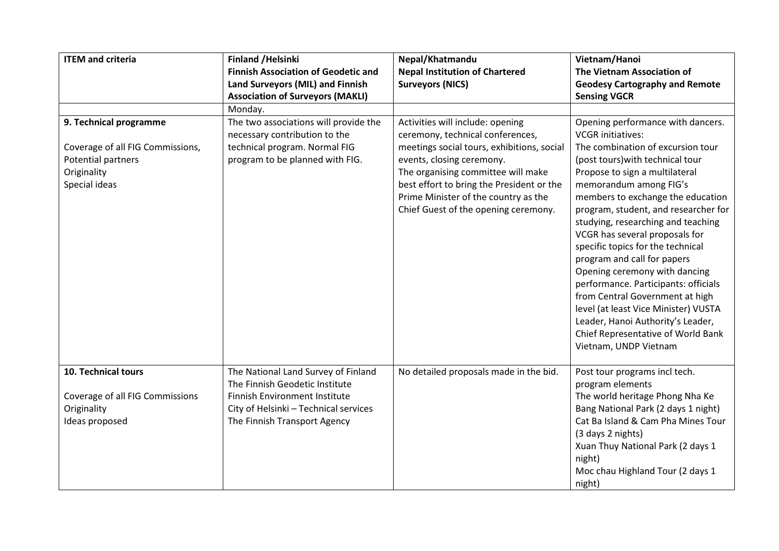| <b>ITEM and criteria</b>         | <b>Finland /Helsinki</b>                                               | Nepal/Khatmandu                                                      | Vietnam/Hanoi                                                           |
|----------------------------------|------------------------------------------------------------------------|----------------------------------------------------------------------|-------------------------------------------------------------------------|
|                                  | <b>Finnish Association of Geodetic and</b>                             | <b>Nepal Institution of Chartered</b>                                | The Vietnam Association of                                              |
|                                  | Land Surveyors (MIL) and Finnish                                       | <b>Surveyors (NICS)</b>                                              | <b>Geodesy Cartography and Remote</b>                                   |
|                                  | <b>Association of Surveyors (MAKLI)</b>                                |                                                                      | <b>Sensing VGCR</b>                                                     |
|                                  | Monday.                                                                |                                                                      |                                                                         |
| 9. Technical programme           | The two associations will provide the<br>necessary contribution to the | Activities will include: opening<br>ceremony, technical conferences, | Opening performance with dancers.<br><b>VCGR</b> initiatives:           |
| Coverage of all FIG Commissions, | technical program. Normal FIG                                          | meetings social tours, exhibitions, social                           | The combination of excursion tour                                       |
| Potential partners               | program to be planned with FIG.                                        | events, closing ceremony.                                            | (post tours) with technical tour                                        |
| Originality                      |                                                                        | The organising committee will make                                   | Propose to sign a multilateral                                          |
| Special ideas                    |                                                                        | best effort to bring the President or the                            | memorandum among FIG's                                                  |
|                                  |                                                                        | Prime Minister of the country as the                                 | members to exchange the education                                       |
|                                  |                                                                        | Chief Guest of the opening ceremony.                                 | program, student, and researcher for                                    |
|                                  |                                                                        |                                                                      | studying, researching and teaching                                      |
|                                  |                                                                        |                                                                      | VCGR has several proposals for                                          |
|                                  |                                                                        |                                                                      | specific topics for the technical                                       |
|                                  |                                                                        |                                                                      | program and call for papers                                             |
|                                  |                                                                        |                                                                      | Opening ceremony with dancing                                           |
|                                  |                                                                        |                                                                      | performance. Participants: officials                                    |
|                                  |                                                                        |                                                                      | from Central Government at high<br>level (at least Vice Minister) VUSTA |
|                                  |                                                                        |                                                                      | Leader, Hanoi Authority's Leader,                                       |
|                                  |                                                                        |                                                                      | Chief Representative of World Bank                                      |
|                                  |                                                                        |                                                                      | Vietnam, UNDP Vietnam                                                   |
|                                  |                                                                        |                                                                      |                                                                         |
| 10. Technical tours              | The National Land Survey of Finland                                    | No detailed proposals made in the bid.                               | Post tour programs incl tech.                                           |
|                                  | The Finnish Geodetic Institute                                         |                                                                      | program elements                                                        |
| Coverage of all FIG Commissions  | <b>Finnish Environment Institute</b>                                   |                                                                      | The world heritage Phong Nha Ke                                         |
| Originality                      | City of Helsinki - Technical services                                  |                                                                      | Bang National Park (2 days 1 night)                                     |
| Ideas proposed                   | The Finnish Transport Agency                                           |                                                                      | Cat Ba Island & Cam Pha Mines Tour                                      |
|                                  |                                                                        |                                                                      | (3 days 2 nights)                                                       |
|                                  |                                                                        |                                                                      | Xuan Thuy National Park (2 days 1                                       |
|                                  |                                                                        |                                                                      | night)                                                                  |
|                                  |                                                                        |                                                                      | Moc chau Highland Tour (2 days 1                                        |
|                                  |                                                                        |                                                                      | night)                                                                  |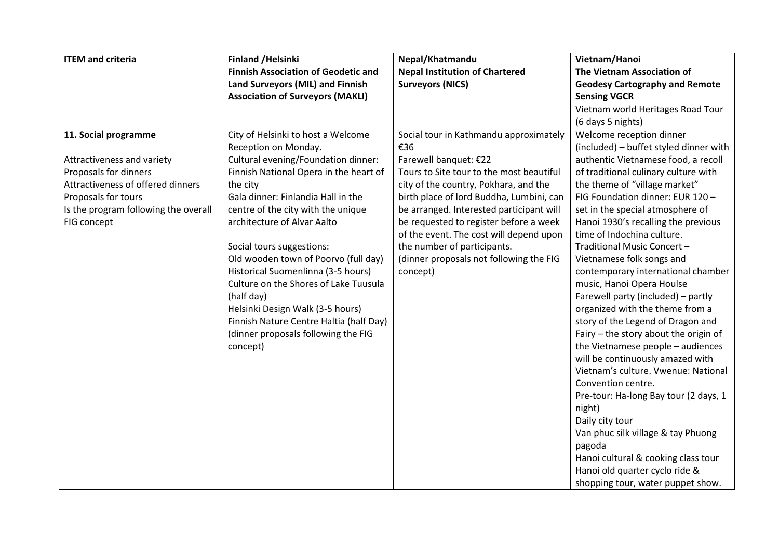| <b>ITEM and criteria</b>             | <b>Finland /Helsinki</b>                   | Nepal/Khatmandu                          | Vietnam/Hanoi                          |
|--------------------------------------|--------------------------------------------|------------------------------------------|----------------------------------------|
|                                      | <b>Finnish Association of Geodetic and</b> | <b>Nepal Institution of Chartered</b>    | The Vietnam Association of             |
|                                      | Land Surveyors (MIL) and Finnish           | <b>Surveyors (NICS)</b>                  | <b>Geodesy Cartography and Remote</b>  |
|                                      | <b>Association of Surveyors (MAKLI)</b>    |                                          | <b>Sensing VGCR</b>                    |
|                                      |                                            |                                          | Vietnam world Heritages Road Tour      |
|                                      |                                            |                                          | (6 days 5 nights)                      |
| 11. Social programme                 | City of Helsinki to host a Welcome         | Social tour in Kathmandu approximately   | Welcome reception dinner               |
|                                      | Reception on Monday.                       | €36                                      | (included) - buffet styled dinner with |
| Attractiveness and variety           | Cultural evening/Foundation dinner:        | Farewell banquet: €22                    | authentic Vietnamese food, a recoll    |
| Proposals for dinners                | Finnish National Opera in the heart of     | Tours to Site tour to the most beautiful | of traditional culinary culture with   |
| Attractiveness of offered dinners    | the city                                   | city of the country, Pokhara, and the    | the theme of "village market"          |
| Proposals for tours                  | Gala dinner: Finlandia Hall in the         | birth place of lord Buddha, Lumbini, can | FIG Foundation dinner: EUR 120 -       |
| Is the program following the overall | centre of the city with the unique         | be arranged. Interested participant will | set in the special atmosphere of       |
| FIG concept                          | architecture of Alvar Aalto                | be requested to register before a week   | Hanoi 1930's recalling the previous    |
|                                      |                                            | of the event. The cost will depend upon  | time of Indochina culture.             |
|                                      | Social tours suggestions:                  | the number of participants.              | Traditional Music Concert-             |
|                                      | Old wooden town of Poorvo (full day)       | (dinner proposals not following the FIG  | Vietnamese folk songs and              |
|                                      | Historical Suomenlinna (3-5 hours)         | concept)                                 | contemporary international chamber     |
|                                      | Culture on the Shores of Lake Tuusula      |                                          | music, Hanoi Opera Houlse              |
|                                      | (half day)                                 |                                          | Farewell party (included) - partly     |
|                                      | Helsinki Design Walk (3-5 hours)           |                                          | organized with the theme from a        |
|                                      | Finnish Nature Centre Haltia (half Day)    |                                          | story of the Legend of Dragon and      |
|                                      | (dinner proposals following the FIG        |                                          | Fairy - the story about the origin of  |
|                                      | concept)                                   |                                          | the Vietnamese people - audiences      |
|                                      |                                            |                                          | will be continuously amazed with       |
|                                      |                                            |                                          | Vietnam's culture. Vwenue: National    |
|                                      |                                            |                                          | Convention centre.                     |
|                                      |                                            |                                          | Pre-tour: Ha-long Bay tour (2 days, 1  |
|                                      |                                            |                                          | night)                                 |
|                                      |                                            |                                          | Daily city tour                        |
|                                      |                                            |                                          | Van phuc silk village & tay Phuong     |
|                                      |                                            |                                          | pagoda                                 |
|                                      |                                            |                                          | Hanoi cultural & cooking class tour    |
|                                      |                                            |                                          | Hanoi old quarter cyclo ride &         |
|                                      |                                            |                                          | shopping tour, water puppet show.      |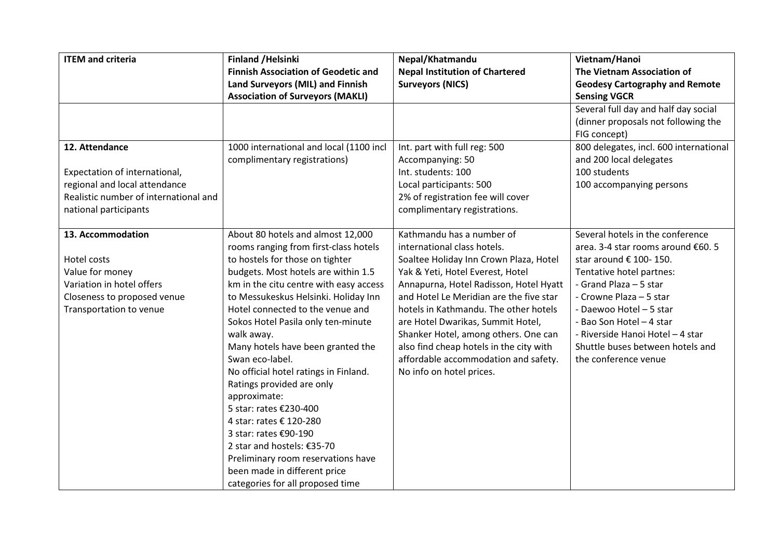| <b>ITEM and criteria</b>              | <b>Finland /Helsinki</b>                   | Nepal/Khatmandu                         | Vietnam/Hanoi                          |
|---------------------------------------|--------------------------------------------|-----------------------------------------|----------------------------------------|
|                                       | <b>Finnish Association of Geodetic and</b> | <b>Nepal Institution of Chartered</b>   | The Vietnam Association of             |
|                                       | Land Surveyors (MIL) and Finnish           | <b>Surveyors (NICS)</b>                 | <b>Geodesy Cartography and Remote</b>  |
|                                       | <b>Association of Surveyors (MAKLI)</b>    |                                         | <b>Sensing VGCR</b>                    |
|                                       |                                            |                                         | Several full day and half day social   |
|                                       |                                            |                                         | (dinner proposals not following the    |
|                                       |                                            |                                         | FIG concept)                           |
| 12. Attendance                        | 1000 international and local (1100 incl    | Int. part with full reg: 500            | 800 delegates, incl. 600 international |
|                                       | complimentary registrations)               | Accompanying: 50                        | and 200 local delegates                |
| Expectation of international,         |                                            | Int. students: 100                      | 100 students                           |
| regional and local attendance         |                                            | Local participants: 500                 | 100 accompanying persons               |
| Realistic number of international and |                                            | 2% of registration fee will cover       |                                        |
| national participants                 |                                            | complimentary registrations.            |                                        |
|                                       |                                            |                                         |                                        |
| 13. Accommodation                     | About 80 hotels and almost 12,000          | Kathmandu has a number of               | Several hotels in the conference       |
|                                       | rooms ranging from first-class hotels      | international class hotels.             | area. 3-4 star rooms around €60. 5     |
| Hotel costs                           | to hostels for those on tighter            | Soaltee Holiday Inn Crown Plaza, Hotel  | star around € 100-150.                 |
| Value for money                       | budgets. Most hotels are within 1.5        | Yak & Yeti, Hotel Everest, Hotel        | Tentative hotel partnes:               |
| Variation in hotel offers             | km in the citu centre with easy access     | Annapurna, Hotel Radisson, Hotel Hyatt  | - Grand Plaza - 5 star                 |
| Closeness to proposed venue           | to Messukeskus Helsinki. Holiday Inn       | and Hotel Le Meridian are the five star | - Crowne Plaza - 5 star                |
| Transportation to venue               | Hotel connected to the venue and           | hotels in Kathmandu. The other hotels   | - Daewoo Hotel - 5 star                |
|                                       | Sokos Hotel Pasila only ten-minute         | are Hotel Dwarikas, Summit Hotel,       | - Bao Son Hotel - 4 star               |
|                                       | walk away.                                 | Shanker Hotel, among others. One can    | - Riverside Hanoi Hotel - 4 star       |
|                                       | Many hotels have been granted the          | also find cheap hotels in the city with | Shuttle buses between hotels and       |
|                                       | Swan eco-label.                            | affordable accommodation and safety.    | the conference venue                   |
|                                       | No official hotel ratings in Finland.      | No info on hotel prices.                |                                        |
|                                       | Ratings provided are only                  |                                         |                                        |
|                                       | approximate:                               |                                         |                                        |
|                                       | 5 star: rates €230-400                     |                                         |                                        |
|                                       | 4 star: rates € 120-280                    |                                         |                                        |
|                                       | 3 star: rates €90-190                      |                                         |                                        |
|                                       | 2 star and hostels: €35-70                 |                                         |                                        |
|                                       | Preliminary room reservations have         |                                         |                                        |
|                                       | been made in different price               |                                         |                                        |
|                                       | categories for all proposed time           |                                         |                                        |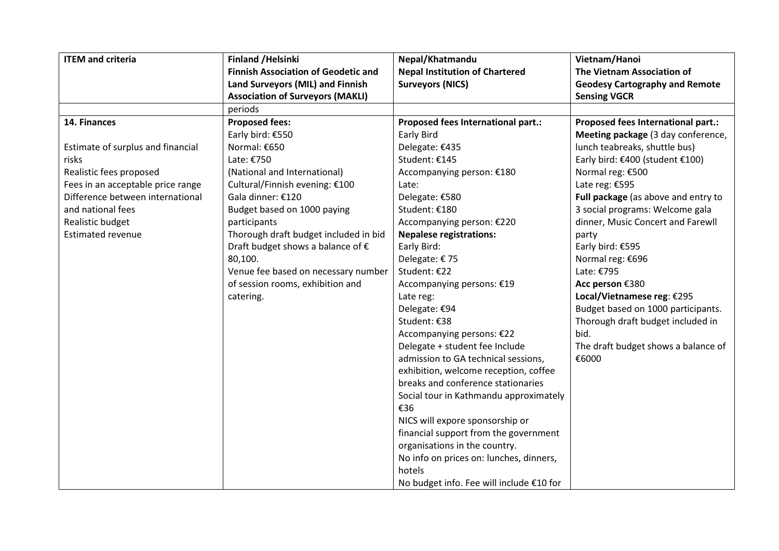| <b>ITEM and criteria</b>          | <b>Finland /Helsinki</b>                   | Nepal/Khatmandu                          | Vietnam/Hanoi                         |
|-----------------------------------|--------------------------------------------|------------------------------------------|---------------------------------------|
|                                   | <b>Finnish Association of Geodetic and</b> | <b>Nepal Institution of Chartered</b>    | The Vietnam Association of            |
|                                   | Land Surveyors (MIL) and Finnish           | <b>Surveyors (NICS)</b>                  | <b>Geodesy Cartography and Remote</b> |
|                                   | <b>Association of Surveyors (MAKLI)</b>    |                                          | <b>Sensing VGCR</b>                   |
|                                   | periods                                    |                                          |                                       |
| 14. Finances                      | <b>Proposed fees:</b>                      | Proposed fees International part.:       | Proposed fees International part.:    |
|                                   | Early bird: €550                           | Early Bird                               | Meeting package (3 day conference,    |
| Estimate of surplus and financial | Normal: €650                               | Delegate: €435                           | lunch teabreaks, shuttle bus)         |
| risks                             | Late: €750                                 | Student: €145                            | Early bird: €400 (student €100)       |
| Realistic fees proposed           | (National and International)               | Accompanying person: €180                | Normal reg: €500                      |
| Fees in an acceptable price range | Cultural/Finnish evening: €100             | Late:                                    | Late reg: €595                        |
| Difference between international  | Gala dinner: €120                          | Delegate: €580                           | Full package (as above and entry to   |
| and national fees                 | Budget based on 1000 paying                | Student: €180                            | 3 social programs: Welcome gala       |
| Realistic budget                  | participants                               | Accompanying person: €220                | dinner, Music Concert and Farewll     |
| <b>Estimated revenue</b>          | Thorough draft budget included in bid      | <b>Nepalese registrations:</b>           | party                                 |
|                                   | Draft budget shows a balance of €          | Early Bird:                              | Early bird: €595                      |
|                                   | 80,100.                                    | Delegate: €75                            | Normal reg: €696                      |
|                                   | Venue fee based on necessary number        | Student: €22                             | Late: €795                            |
|                                   | of session rooms, exhibition and           | Accompanying persons: €19                | Acc person €380                       |
|                                   | catering.                                  | Late reg:                                | Local/Vietnamese reg: €295            |
|                                   |                                            | Delegate: €94                            | Budget based on 1000 participants.    |
|                                   |                                            | Student: €38                             | Thorough draft budget included in     |
|                                   |                                            | Accompanying persons: €22                | bid.                                  |
|                                   |                                            | Delegate + student fee Include           | The draft budget shows a balance of   |
|                                   |                                            | admission to GA technical sessions,      | €6000                                 |
|                                   |                                            | exhibition, welcome reception, coffee    |                                       |
|                                   |                                            | breaks and conference stationaries       |                                       |
|                                   |                                            | Social tour in Kathmandu approximately   |                                       |
|                                   |                                            | €36                                      |                                       |
|                                   |                                            | NICS will expore sponsorship or          |                                       |
|                                   |                                            | financial support from the government    |                                       |
|                                   |                                            | organisations in the country.            |                                       |
|                                   |                                            | No info on prices on: lunches, dinners,  |                                       |
|                                   |                                            | hotels                                   |                                       |
|                                   |                                            | No budget info. Fee will include €10 for |                                       |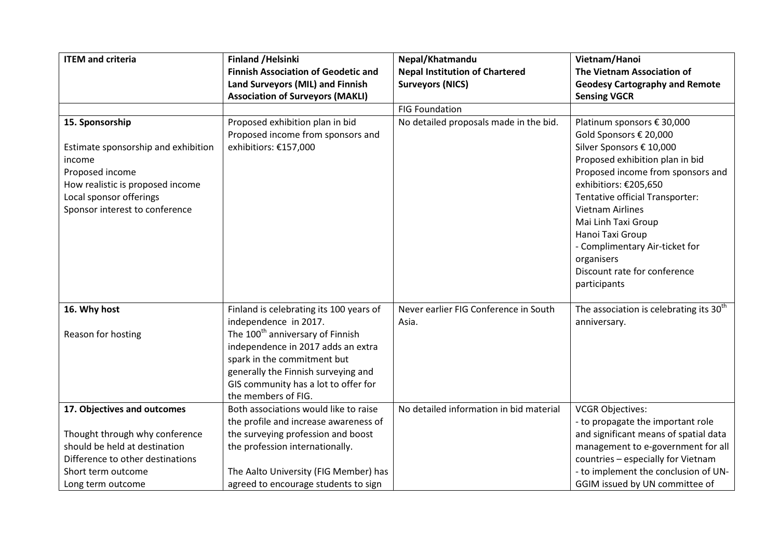| <b>ITEM and criteria</b>                                                                                                                                                             | <b>Finland /Helsinki</b>                                                                                                                                                                                                                         | Nepal/Khatmandu                         | Vietnam/Hanoi                                                                                                                                                                                                                                                                                                                                                                              |
|--------------------------------------------------------------------------------------------------------------------------------------------------------------------------------------|--------------------------------------------------------------------------------------------------------------------------------------------------------------------------------------------------------------------------------------------------|-----------------------------------------|--------------------------------------------------------------------------------------------------------------------------------------------------------------------------------------------------------------------------------------------------------------------------------------------------------------------------------------------------------------------------------------------|
|                                                                                                                                                                                      | <b>Finnish Association of Geodetic and</b>                                                                                                                                                                                                       | <b>Nepal Institution of Chartered</b>   | <b>The Vietnam Association of</b>                                                                                                                                                                                                                                                                                                                                                          |
|                                                                                                                                                                                      | Land Surveyors (MIL) and Finnish                                                                                                                                                                                                                 | <b>Surveyors (NICS)</b>                 | <b>Geodesy Cartography and Remote</b>                                                                                                                                                                                                                                                                                                                                                      |
|                                                                                                                                                                                      | <b>Association of Surveyors (MAKLI)</b>                                                                                                                                                                                                          |                                         | <b>Sensing VGCR</b>                                                                                                                                                                                                                                                                                                                                                                        |
|                                                                                                                                                                                      |                                                                                                                                                                                                                                                  | <b>FIG Foundation</b>                   |                                                                                                                                                                                                                                                                                                                                                                                            |
| 15. Sponsorship<br>Estimate sponsorship and exhibition<br>income<br>Proposed income<br>How realistic is proposed income<br>Local sponsor offerings<br>Sponsor interest to conference | Proposed exhibition plan in bid<br>Proposed income from sponsors and<br>exhibitiors: €157,000                                                                                                                                                    | No detailed proposals made in the bid.  | Platinum sponsors € 30,000<br>Gold Sponsors € 20,000<br>Silver Sponsors € 10,000<br>Proposed exhibition plan in bid<br>Proposed income from sponsors and<br>exhibitiors: €205,650<br>Tentative official Transporter:<br><b>Vietnam Airlines</b><br>Mai Linh Taxi Group<br>Hanoi Taxi Group<br>- Complimentary Air-ticket for<br>organisers<br>Discount rate for conference<br>participants |
| 16. Why host                                                                                                                                                                         | Finland is celebrating its 100 years of                                                                                                                                                                                                          | Never earlier FIG Conference in South   | The association is celebrating its $30th$                                                                                                                                                                                                                                                                                                                                                  |
| Reason for hosting                                                                                                                                                                   | independence in 2017.<br>The 100 <sup>th</sup> anniversary of Finnish<br>independence in 2017 adds an extra<br>spark in the commitment but<br>generally the Finnish surveying and<br>GIS community has a lot to offer for<br>the members of FIG. | Asia.                                   | anniversary.                                                                                                                                                                                                                                                                                                                                                                               |
| 17. Objectives and outcomes                                                                                                                                                          | Both associations would like to raise                                                                                                                                                                                                            | No detailed information in bid material | <b>VCGR Objectives:</b>                                                                                                                                                                                                                                                                                                                                                                    |
|                                                                                                                                                                                      | the profile and increase awareness of                                                                                                                                                                                                            |                                         | - to propagate the important role                                                                                                                                                                                                                                                                                                                                                          |
| Thought through why conference                                                                                                                                                       | the surveying profession and boost                                                                                                                                                                                                               |                                         | and significant means of spatial data                                                                                                                                                                                                                                                                                                                                                      |
| should be held at destination                                                                                                                                                        | the profession internationally.                                                                                                                                                                                                                  |                                         | management to e-government for all                                                                                                                                                                                                                                                                                                                                                         |
| Difference to other destinations                                                                                                                                                     |                                                                                                                                                                                                                                                  |                                         | countries - especially for Vietnam                                                                                                                                                                                                                                                                                                                                                         |
| Short term outcome                                                                                                                                                                   | The Aalto University (FIG Member) has                                                                                                                                                                                                            |                                         | - to implement the conclusion of UN-                                                                                                                                                                                                                                                                                                                                                       |
| Long term outcome                                                                                                                                                                    | agreed to encourage students to sign                                                                                                                                                                                                             |                                         | GGIM issued by UN committee of                                                                                                                                                                                                                                                                                                                                                             |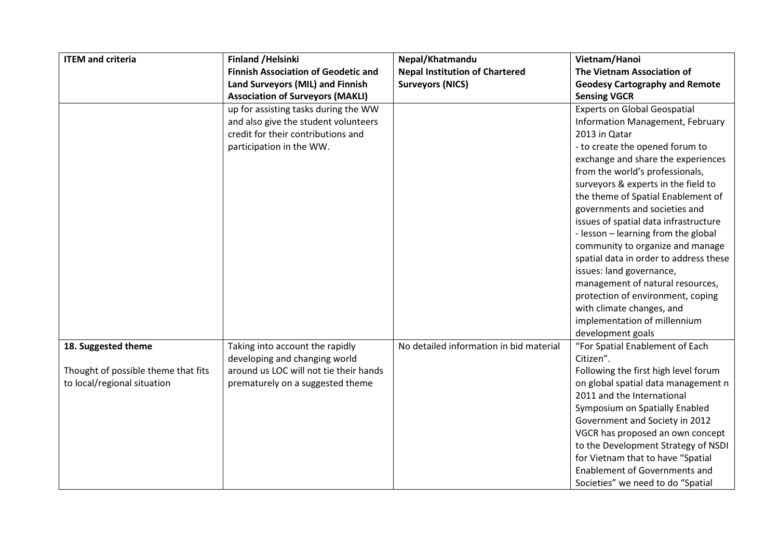| <b>ITEM and criteria</b>            | <b>Finland /Helsinki</b>                   | Nepal/Khatmandu                         | Vietnam/Hanoi                          |
|-------------------------------------|--------------------------------------------|-----------------------------------------|----------------------------------------|
|                                     | <b>Finnish Association of Geodetic and</b> | <b>Nepal Institution of Chartered</b>   | The Vietnam Association of             |
|                                     | Land Surveyors (MIL) and Finnish           | <b>Surveyors (NICS)</b>                 | <b>Geodesy Cartography and Remote</b>  |
|                                     | <b>Association of Surveyors (MAKLI)</b>    |                                         | <b>Sensing VGCR</b>                    |
|                                     | up for assisting tasks during the WW       |                                         | <b>Experts on Global Geospatial</b>    |
|                                     | and also give the student volunteers       |                                         | Information Management, February       |
|                                     | credit for their contributions and         |                                         | 2013 in Qatar                          |
|                                     | participation in the WW.                   |                                         | - to create the opened forum to        |
|                                     |                                            |                                         | exchange and share the experiences     |
|                                     |                                            |                                         | from the world's professionals,        |
|                                     |                                            |                                         | surveyors & experts in the field to    |
|                                     |                                            |                                         | the theme of Spatial Enablement of     |
|                                     |                                            |                                         | governments and societies and          |
|                                     |                                            |                                         | issues of spatial data infrastructure  |
|                                     |                                            |                                         | - lesson - learning from the global    |
|                                     |                                            |                                         | community to organize and manage       |
|                                     |                                            |                                         | spatial data in order to address these |
|                                     |                                            |                                         | issues: land governance,               |
|                                     |                                            |                                         | management of natural resources,       |
|                                     |                                            |                                         | protection of environment, coping      |
|                                     |                                            |                                         | with climate changes, and              |
|                                     |                                            |                                         | implementation of millennium           |
|                                     |                                            |                                         | development goals                      |
| 18. Suggested theme                 | Taking into account the rapidly            | No detailed information in bid material | "For Spatial Enablement of Each        |
|                                     | developing and changing world              |                                         | Citizen".                              |
| Thought of possible theme that fits | around us LOC will not tie their hands     |                                         | Following the first high level forum   |
| to local/regional situation         | prematurely on a suggested theme           |                                         | on global spatial data management n    |
|                                     |                                            |                                         | 2011 and the International             |
|                                     |                                            |                                         | Symposium on Spatially Enabled         |
|                                     |                                            |                                         | Government and Society in 2012         |
|                                     |                                            |                                         | VGCR has proposed an own concept       |
|                                     |                                            |                                         | to the Development Strategy of NSDI    |
|                                     |                                            |                                         | for Vietnam that to have "Spatial      |
|                                     |                                            |                                         | <b>Enablement of Governments and</b>   |
|                                     |                                            |                                         | Societies" we need to do "Spatial      |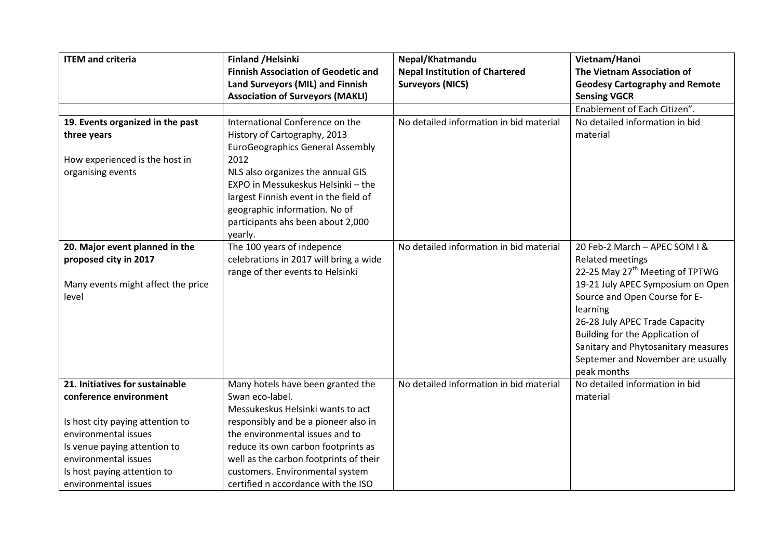| <b>ITEM and criteria</b>           | <b>Finland /Helsinki</b>                   | Nepal/Khatmandu                         | Vietnam/Hanoi                               |
|------------------------------------|--------------------------------------------|-----------------------------------------|---------------------------------------------|
|                                    | <b>Finnish Association of Geodetic and</b> | <b>Nepal Institution of Chartered</b>   | The Vietnam Association of                  |
|                                    | Land Surveyors (MIL) and Finnish           | <b>Surveyors (NICS)</b>                 | <b>Geodesy Cartography and Remote</b>       |
|                                    | <b>Association of Surveyors (MAKLI)</b>    |                                         | <b>Sensing VGCR</b>                         |
|                                    |                                            |                                         | Enablement of Each Citizen".                |
| 19. Events organized in the past   | International Conference on the            | No detailed information in bid material | No detailed information in bid              |
| three years                        | History of Cartography, 2013               |                                         | material                                    |
|                                    | <b>EuroGeographics General Assembly</b>    |                                         |                                             |
| How experienced is the host in     | 2012                                       |                                         |                                             |
| organising events                  | NLS also organizes the annual GIS          |                                         |                                             |
|                                    | EXPO in Messukeskus Helsinki - the         |                                         |                                             |
|                                    | largest Finnish event in the field of      |                                         |                                             |
|                                    | geographic information. No of              |                                         |                                             |
|                                    | participants ahs been about 2,000          |                                         |                                             |
|                                    | yearly.                                    |                                         |                                             |
| 20. Major event planned in the     | The 100 years of indepence                 | No detailed information in bid material | 20 Feb-2 March - APEC SOM I &               |
| proposed city in 2017              | celebrations in 2017 will bring a wide     |                                         | <b>Related meetings</b>                     |
|                                    | range of ther events to Helsinki           |                                         | 22-25 May 27 <sup>th</sup> Meeting of TPTWG |
| Many events might affect the price |                                            |                                         | 19-21 July APEC Symposium on Open           |
| level                              |                                            |                                         | Source and Open Course for E-               |
|                                    |                                            |                                         | learning                                    |
|                                    |                                            |                                         | 26-28 July APEC Trade Capacity              |
|                                    |                                            |                                         | Building for the Application of             |
|                                    |                                            |                                         | Sanitary and Phytosanitary measures         |
|                                    |                                            |                                         | Septemer and November are usually           |
|                                    |                                            |                                         | peak months                                 |
| 21. Initiatives for sustainable    | Many hotels have been granted the          | No detailed information in bid material | No detailed information in bid              |
| conference environment             | Swan eco-label.                            |                                         | material                                    |
|                                    | Messukeskus Helsinki wants to act          |                                         |                                             |
| Is host city paying attention to   | responsibly and be a pioneer also in       |                                         |                                             |
| environmental issues               | the environmental issues and to            |                                         |                                             |
| Is venue paying attention to       | reduce its own carbon footprints as        |                                         |                                             |
| environmental issues               | well as the carbon footprints of their     |                                         |                                             |
| Is host paying attention to        | customers. Environmental system            |                                         |                                             |
| environmental issues               | certified n accordance with the ISO        |                                         |                                             |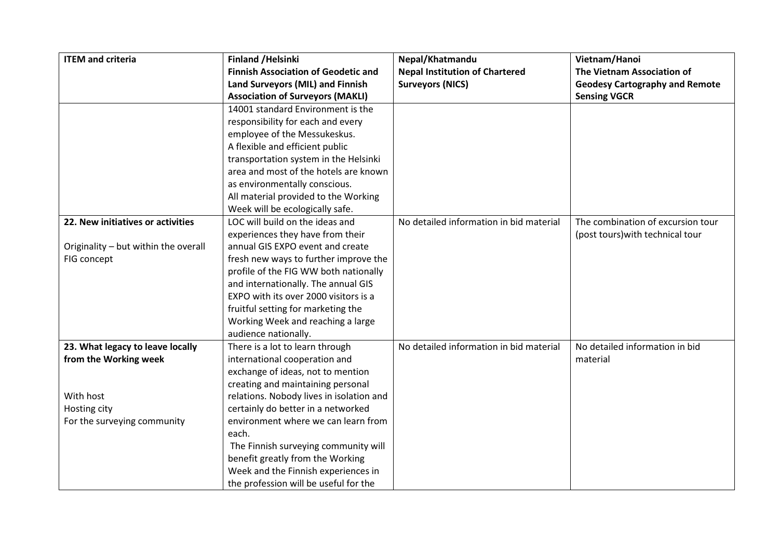| <b>ITEM and criteria</b>             | <b>Finland /Helsinki</b>                   | Nepal/Khatmandu                         | Vietnam/Hanoi                         |
|--------------------------------------|--------------------------------------------|-----------------------------------------|---------------------------------------|
|                                      | <b>Finnish Association of Geodetic and</b> | <b>Nepal Institution of Chartered</b>   | The Vietnam Association of            |
|                                      | Land Surveyors (MIL) and Finnish           | <b>Surveyors (NICS)</b>                 | <b>Geodesy Cartography and Remote</b> |
|                                      | <b>Association of Surveyors (MAKLI)</b>    |                                         | <b>Sensing VGCR</b>                   |
|                                      | 14001 standard Environment is the          |                                         |                                       |
|                                      | responsibility for each and every          |                                         |                                       |
|                                      | employee of the Messukeskus.               |                                         |                                       |
|                                      | A flexible and efficient public            |                                         |                                       |
|                                      | transportation system in the Helsinki      |                                         |                                       |
|                                      | area and most of the hotels are known      |                                         |                                       |
|                                      | as environmentally conscious.              |                                         |                                       |
|                                      | All material provided to the Working       |                                         |                                       |
|                                      | Week will be ecologically safe.            |                                         |                                       |
| 22. New initiatives or activities    | LOC will build on the ideas and            | No detailed information in bid material | The combination of excursion tour     |
|                                      | experiences they have from their           |                                         | (post tours) with technical tour      |
| Originality - but within the overall | annual GIS EXPO event and create           |                                         |                                       |
| FIG concept                          | fresh new ways to further improve the      |                                         |                                       |
|                                      | profile of the FIG WW both nationally      |                                         |                                       |
|                                      | and internationally. The annual GIS        |                                         |                                       |
|                                      | EXPO with its over 2000 visitors is a      |                                         |                                       |
|                                      | fruitful setting for marketing the         |                                         |                                       |
|                                      | Working Week and reaching a large          |                                         |                                       |
|                                      | audience nationally.                       |                                         |                                       |
| 23. What legacy to leave locally     | There is a lot to learn through            | No detailed information in bid material | No detailed information in bid        |
| from the Working week                | international cooperation and              |                                         | material                              |
|                                      | exchange of ideas, not to mention          |                                         |                                       |
|                                      | creating and maintaining personal          |                                         |                                       |
| With host                            | relations. Nobody lives in isolation and   |                                         |                                       |
| Hosting city                         | certainly do better in a networked         |                                         |                                       |
| For the surveying community          | environment where we can learn from        |                                         |                                       |
|                                      | each.                                      |                                         |                                       |
|                                      | The Finnish surveying community will       |                                         |                                       |
|                                      | benefit greatly from the Working           |                                         |                                       |
|                                      | Week and the Finnish experiences in        |                                         |                                       |
|                                      | the profession will be useful for the      |                                         |                                       |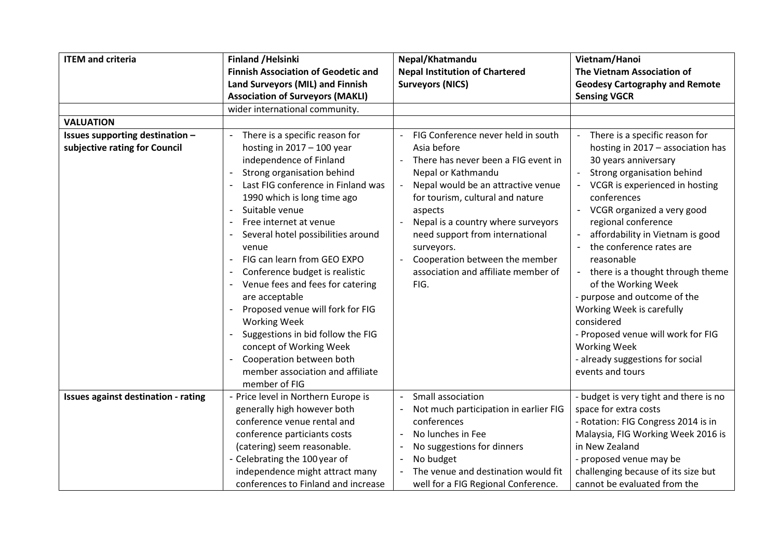| <b>ITEM and criteria</b>                   | <b>Finland /Helsinki</b>                                   | Nepal/Khatmandu                       | Vietnam/Hanoi                          |
|--------------------------------------------|------------------------------------------------------------|---------------------------------------|----------------------------------------|
|                                            | <b>Finnish Association of Geodetic and</b>                 | <b>Nepal Institution of Chartered</b> | The Vietnam Association of             |
|                                            | Land Surveyors (MIL) and Finnish                           | <b>Surveyors (NICS)</b>               | <b>Geodesy Cartography and Remote</b>  |
|                                            | <b>Association of Surveyors (MAKLI)</b>                    |                                       | <b>Sensing VGCR</b>                    |
|                                            | wider international community.                             |                                       |                                        |
| <b>VALUATION</b>                           |                                                            |                                       |                                        |
| Issues supporting destination -            | There is a specific reason for<br>$\overline{\phantom{a}}$ | FIG Conference never held in south    | There is a specific reason for         |
| subjective rating for Council              | hosting in $2017 - 100$ year                               | Asia before                           | hosting in 2017 - association has      |
|                                            | independence of Finland                                    | There has never been a FIG event in   | 30 years anniversary                   |
|                                            | Strong organisation behind                                 | Nepal or Kathmandu                    | Strong organisation behind             |
|                                            | Last FIG conference in Finland was                         | Nepal would be an attractive venue    | VCGR is experienced in hosting         |
|                                            | 1990 which is long time ago                                | for tourism, cultural and nature      | conferences                            |
|                                            | Suitable venue                                             | aspects                               | VCGR organized a very good             |
|                                            | Free internet at venue                                     | Nepal is a country where surveyors    | regional conference                    |
|                                            | Several hotel possibilities around                         | need support from international       | affordability in Vietnam is good       |
|                                            | venue                                                      | surveyors.                            | the conference rates are               |
|                                            | FIG can learn from GEO EXPO<br>$\blacksquare$              | Cooperation between the member        | reasonable                             |
|                                            | Conference budget is realistic                             | association and affiliate member of   | there is a thought through theme       |
|                                            | Venue fees and fees for catering                           | FIG.                                  | of the Working Week                    |
|                                            | are acceptable                                             |                                       | - purpose and outcome of the           |
|                                            | Proposed venue will fork for FIG                           |                                       | Working Week is carefully              |
|                                            | <b>Working Week</b>                                        |                                       | considered                             |
|                                            | Suggestions in bid follow the FIG                          |                                       | - Proposed venue will work for FIG     |
|                                            | concept of Working Week                                    |                                       | <b>Working Week</b>                    |
|                                            | Cooperation between both                                   |                                       | - already suggestions for social       |
|                                            | member association and affiliate                           |                                       | events and tours                       |
|                                            | member of FIG                                              |                                       |                                        |
| <b>Issues against destination - rating</b> | - Price level in Northern Europe is                        | Small association                     | - budget is very tight and there is no |
|                                            | generally high however both                                | Not much participation in earlier FIG | space for extra costs                  |
|                                            | conference venue rental and                                | conferences                           | - Rotation: FIG Congress 2014 is in    |
|                                            | conference particiants costs                               | No lunches in Fee                     | Malaysia, FIG Working Week 2016 is     |
|                                            | (catering) seem reasonable.                                | No suggestions for dinners            | in New Zealand                         |
|                                            | - Celebrating the 100 year of                              | No budget                             | - proposed venue may be                |
|                                            | independence might attract many                            | The venue and destination would fit   | challenging because of its size but    |
|                                            | conferences to Finland and increase                        | well for a FIG Regional Conference.   | cannot be evaluated from the           |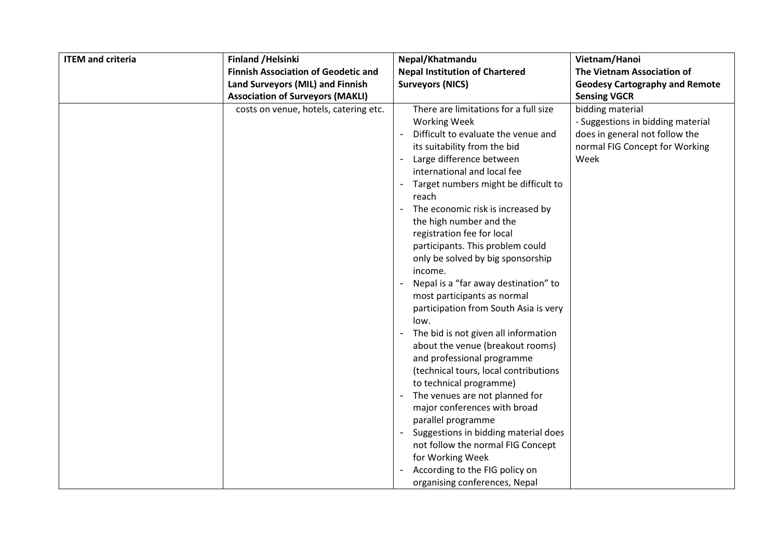| <b>ITEM and criteria</b><br><b>Finland / Helsinki</b> |                                            | Nepal/Khatmandu                                                                                                                                                                                                                                                                                                                                                                                                                                                                                                                                                                                                                                                                                                                                                                                                                                                                                                                                                                                     | Vietnam/Hanoi                                                                                                                     |
|-------------------------------------------------------|--------------------------------------------|-----------------------------------------------------------------------------------------------------------------------------------------------------------------------------------------------------------------------------------------------------------------------------------------------------------------------------------------------------------------------------------------------------------------------------------------------------------------------------------------------------------------------------------------------------------------------------------------------------------------------------------------------------------------------------------------------------------------------------------------------------------------------------------------------------------------------------------------------------------------------------------------------------------------------------------------------------------------------------------------------------|-----------------------------------------------------------------------------------------------------------------------------------|
|                                                       | <b>Finnish Association of Geodetic and</b> | <b>Nepal Institution of Chartered</b>                                                                                                                                                                                                                                                                                                                                                                                                                                                                                                                                                                                                                                                                                                                                                                                                                                                                                                                                                               | The Vietnam Association of                                                                                                        |
|                                                       | Land Surveyors (MIL) and Finnish           | <b>Surveyors (NICS)</b>                                                                                                                                                                                                                                                                                                                                                                                                                                                                                                                                                                                                                                                                                                                                                                                                                                                                                                                                                                             | <b>Geodesy Cartography and Remote</b>                                                                                             |
|                                                       | <b>Association of Surveyors (MAKLI)</b>    |                                                                                                                                                                                                                                                                                                                                                                                                                                                                                                                                                                                                                                                                                                                                                                                                                                                                                                                                                                                                     | <b>Sensing VGCR</b>                                                                                                               |
|                                                       | costs on venue, hotels, catering etc.      | There are limitations for a full size<br><b>Working Week</b><br>Difficult to evaluate the venue and<br>its suitability from the bid<br>Large difference between<br>international and local fee<br>Target numbers might be difficult to<br>reach<br>The economic risk is increased by<br>the high number and the<br>registration fee for local<br>participants. This problem could<br>only be solved by big sponsorship<br>income.<br>Nepal is a "far away destination" to<br>most participants as normal<br>participation from South Asia is very<br>low.<br>The bid is not given all information<br>about the venue (breakout rooms)<br>and professional programme<br>(technical tours, local contributions<br>to technical programme)<br>The venues are not planned for<br>major conferences with broad<br>parallel programme<br>Suggestions in bidding material does<br>not follow the normal FIG Concept<br>for Working Week<br>According to the FIG policy on<br>organising conferences, Nepal | bidding material<br>- Suggestions in bidding material<br>does in general not follow the<br>normal FIG Concept for Working<br>Week |